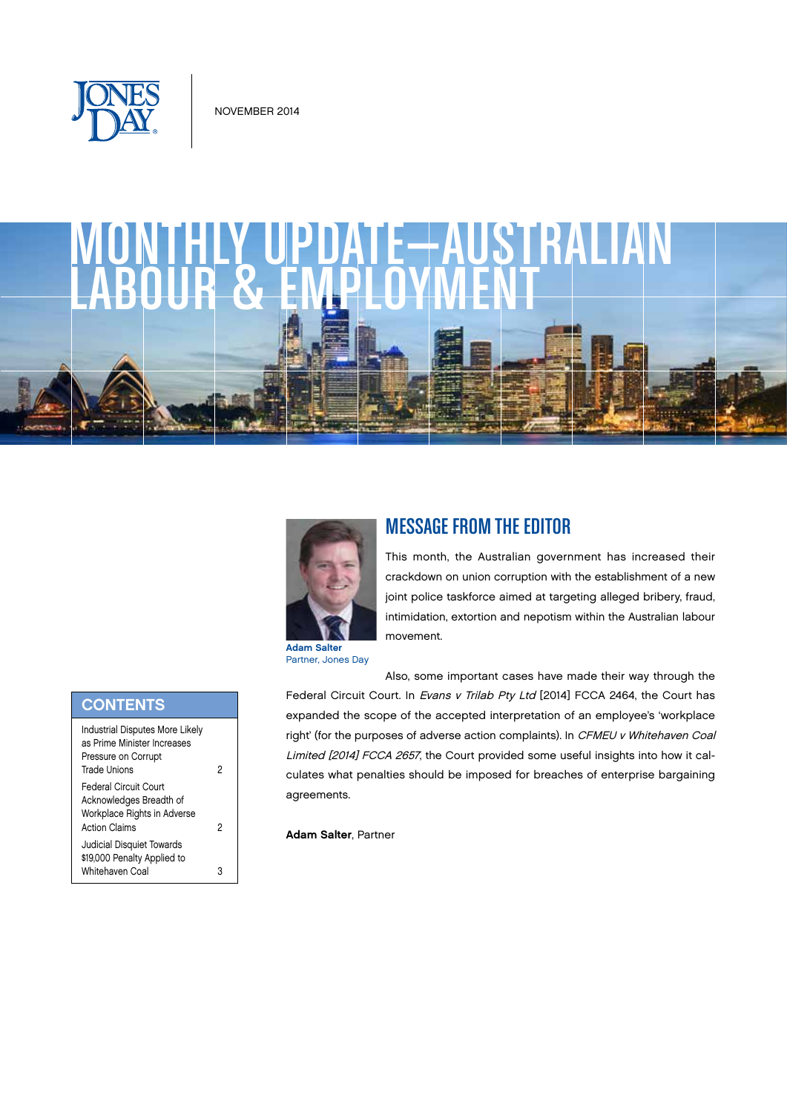

# MONTHLY UPDATE—AUSTRALIAN



## MESSAGE FROM THE EDITOR

This month, the Australian government has increased their crackdown on union corruption with the establishment of a new joint police taskforce aimed at targeting alleged bribery, fraud, intimidation, extortion and nepotism within the Australian labour movement.

Partner, Jones Day

Also, some important cases have made their way through the Federal Circuit Court. In Evans v Trilab Pty Ltd [2014] FCCA 2464, the Court has expanded the scope of the accepted interpretation of an employee's 'workplace right' (for the purposes of adverse action complaints). In CFMEU v Whitehaven Coal Limited [2014] FCCA 2657, the Court provided some useful insights into how it calculates what penalties should be imposed for breaches of enterprise bargaining agreements.

Adam Salter, Partner

| <b>CONTENTS</b>                                                                                              |   |
|--------------------------------------------------------------------------------------------------------------|---|
| <b>Industrial Disputes More Likely</b><br>as Prime Minister Increases<br>Pressure on Corrupt<br>Trade Unions | 2 |
| Federal Circuit Court<br>Acknowledges Breadth of<br>Workplace Rights in Adverse<br><b>Action Claims</b>      | 2 |
| Judicial Disquiet Towards<br>\$19,000 Penalty Applied to<br>Whitehaven Coal                                  |   |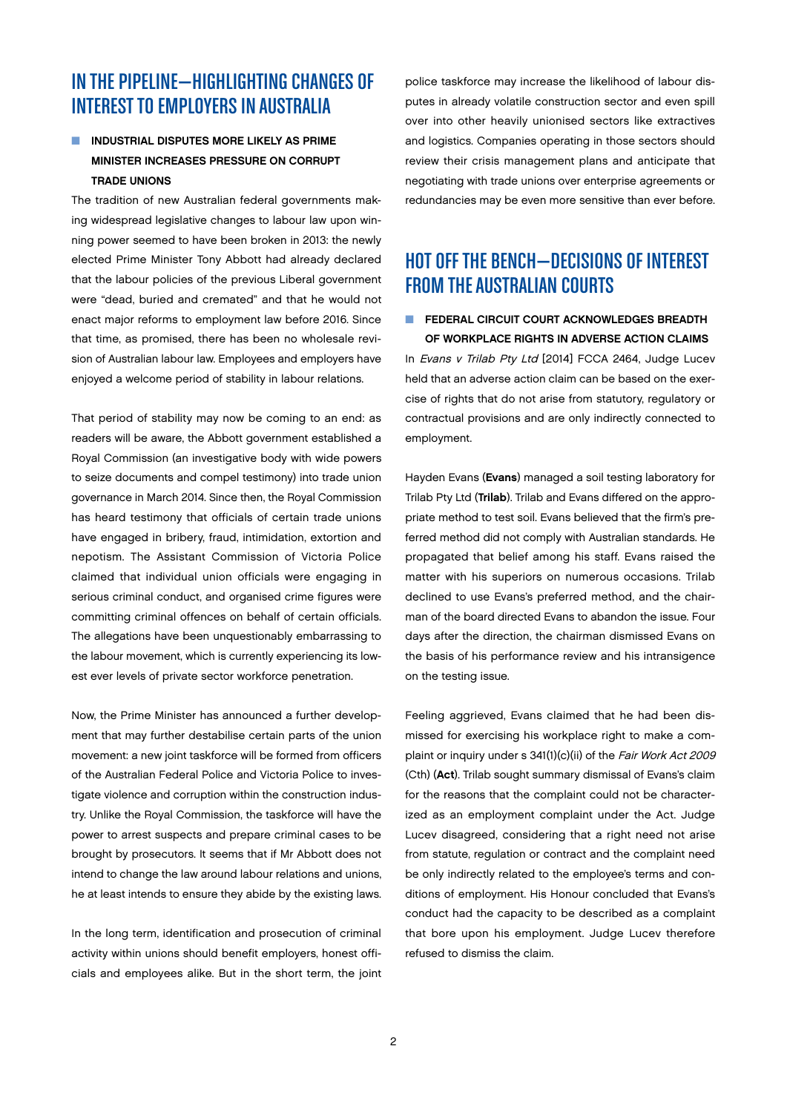# <span id="page-1-0"></span>IN THE PIPELINE—HIGHLIGHTING CHANGES OF INTEREST TO EMPLOYERS IN AUSTRALIA

## INDUSTRIAL DISPUTES MORE LIKELY AS PRIME MINISTER INCREASES PRESSURE ON CORRUPT TRADE UNIONS

The tradition of new Australian federal governments making widespread legislative changes to labour law upon winning power seemed to have been broken in 2013: the newly elected Prime Minister Tony Abbott had already declared that the labour policies of the previous Liberal government were "dead, buried and cremated" and that he would not enact major reforms to employment law before 2016. Since that time, as promised, there has been no wholesale revision of Australian labour law. Employees and employers have enjoyed a welcome period of stability in labour relations.

That period of stability may now be coming to an end: as readers will be aware, the Abbott government established a Royal Commission (an investigative body with wide powers to seize documents and compel testimony) into trade union governance in March 2014. Since then, the Royal Commission has heard testimony that officials of certain trade unions have engaged in bribery, fraud, intimidation, extortion and nepotism. The Assistant Commission of Victoria Police claimed that individual union officials were engaging in serious criminal conduct, and organised crime figures were committing criminal offences on behalf of certain officials. The allegations have been unquestionably embarrassing to the labour movement, which is currently experiencing its lowest ever levels of private sector workforce penetration.

Now, the Prime Minister has announced a further development that may further destabilise certain parts of the union movement: a new joint taskforce will be formed from officers of the Australian Federal Police and Victoria Police to investigate violence and corruption within the construction industry. Unlike the Royal Commission, the taskforce will have the power to arrest suspects and prepare criminal cases to be brought by prosecutors. It seems that if Mr Abbott does not intend to change the law around labour relations and unions, he at least intends to ensure they abide by the existing laws.

In the long term, identification and prosecution of criminal activity within unions should benefit employers, honest officials and employees alike. But in the short term, the joint

police taskforce may increase the likelihood of labour disputes in already volatile construction sector and even spill over into other heavily unionised sectors like extractives and logistics. Companies operating in those sectors should review their crisis management plans and anticipate that negotiating with trade unions over enterprise agreements or redundancies may be even more sensitive than ever before.

# HOT OFF THE BENCH—DECISIONS OF INTEREST FROM THE AUSTRALIAN COURTS

### **N** FEDERAL CIRCUIT COURT ACKNOWLEDGES BREADTH OF WORKPLACE RIGHTS IN ADVERSE ACTION CLAIMS

In Evans v Trilab Pty Ltd [2014] FCCA 2464, Judge Lucev held that an adverse action claim can be based on the exercise of rights that do not arise from statutory, regulatory or contractual provisions and are only indirectly connected to employment.

Hayden Evans (Evans) managed a soil testing laboratory for Trilab Pty Ltd (Trilab). Trilab and Evans differed on the appropriate method to test soil. Evans believed that the firm's preferred method did not comply with Australian standards. He propagated that belief among his staff. Evans raised the matter with his superiors on numerous occasions. Trilab declined to use Evans's preferred method, and the chairman of the board directed Evans to abandon the issue. Four days after the direction, the chairman dismissed Evans on the basis of his performance review and his intransigence on the testing issue.

Feeling aggrieved, Evans claimed that he had been dismissed for exercising his workplace right to make a complaint or inquiry under s 341(1)(c)(ii) of the Fair Work Act 2009 (Cth) (Act). Trilab sought summary dismissal of Evans's claim for the reasons that the complaint could not be characterized as an employment complaint under the Act. Judge Lucev disagreed, considering that a right need not arise from statute, regulation or contract and the complaint need be only indirectly related to the employee's terms and conditions of employment. His Honour concluded that Evans's conduct had the capacity to be described as a complaint that bore upon his employment. Judge Lucev therefore refused to dismiss the claim.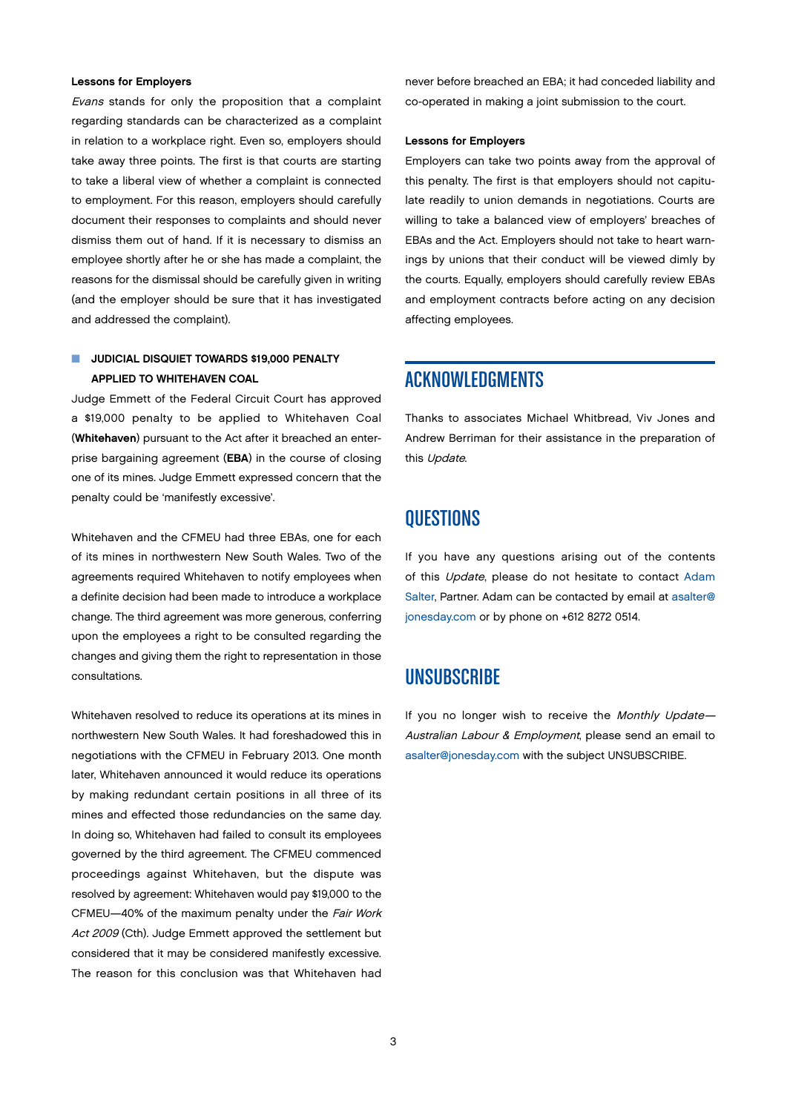#### <span id="page-2-0"></span>Lessons for Employers

Evans stands for only the proposition that a complaint regarding standards can be characterized as a complaint in relation to a workplace right. Even so, employers should take away three points. The first is that courts are starting to take a liberal view of whether a complaint is connected to employment. For this reason, employers should carefully document their responses to complaints and should never dismiss them out of hand. If it is necessary to dismiss an employee shortly after he or she has made a complaint, the reasons for the dismissal should be carefully given in writing (and the employer should be sure that it has investigated and addressed the complaint).

### **N** JUDICIAL DISQUIET TOWARDS \$19,000 PENALTY APPLIED TO WHITEHAVEN COAL

Judge Emmett of the Federal Circuit Court has approved a \$19,000 penalty to be applied to Whitehaven Coal (Whitehaven) pursuant to the Act after it breached an enterprise bargaining agreement (EBA) in the course of closing one of its mines. Judge Emmett expressed concern that the penalty could be 'manifestly excessive'.

Whitehaven and the CFMEU had three EBAs, one for each of its mines in northwestern New South Wales. Two of the agreements required Whitehaven to notify employees when a definite decision had been made to introduce a workplace change. The third agreement was more generous, conferring upon the employees a right to be consulted regarding the changes and giving them the right to representation in those consultations.

Whitehaven resolved to reduce its operations at its mines in northwestern New South Wales. It had foreshadowed this in negotiations with the CFMEU in February 2013. One month later, Whitehaven announced it would reduce its operations by making redundant certain positions in all three of its mines and effected those redundancies on the same day. In doing so, Whitehaven had failed to consult its employees governed by the third agreement. The CFMEU commenced proceedings against Whitehaven, but the dispute was resolved by agreement: Whitehaven would pay \$19,000 to the CFMEU—40% of the maximum penalty under the Fair Work Act 2009 (Cth). Judge Emmett approved the settlement but considered that it may be considered manifestly excessive. The reason for this conclusion was that Whitehaven had

never before breached an EBA; it had conceded liability and co-operated in making a joint submission to the court.

#### Lessons for Employers

Employers can take two points away from the approval of this penalty. The first is that employers should not capitulate readily to union demands in negotiations. Courts are willing to take a balanced view of employers' breaches of EBAs and the Act. Employers should not take to heart warnings by unions that their conduct will be viewed dimly by the courts. Equally, employers should carefully review EBAs and employment contracts before acting on any decision affecting employees.

## ACKNOWLEDGMENTS

Thanks to associates Michael Whitbread, Viv Jones and Andrew Berriman for their assistance in the preparation of this Update.

## **OUESTIONS**

If you have any questions arising out of the contents of this Update, please do not hesitate to contact [Adam](http://www.jonesday.com/asalter/) [Salter,](http://www.jonesday.com/asalter/) Partner. Adam can be contacted by email at [asalter@](mailto:asalter%40jonesday.com?subject=Monthly%20Update%20-%20Australian%20Labour%20%26%20Employment%20Question) [jonesday.com](mailto:asalter%40jonesday.com?subject=Monthly%20Update%20-%20Australian%20Labour%20%26%20Employment%20Question) or by phone on +612 8272 0514.

## **UNSUBSCRIBE**

If you no longer wish to receive the Monthly Update-Australian Labour & Employment, please send an email to [asalter@jonesday.com](mailto:asalter%40jonesday.com?subject=UNSUBSCRIBE) with the subject UNSUBSCRIBE.